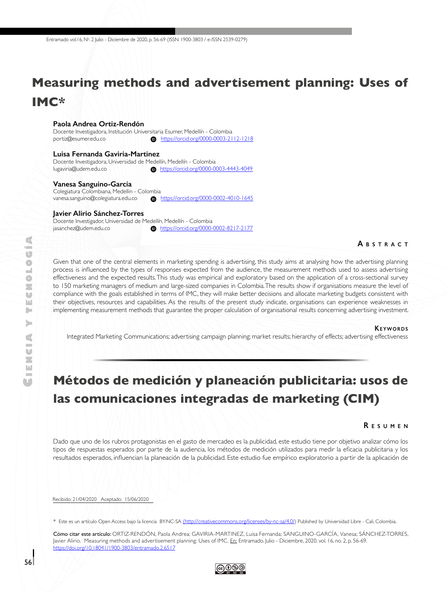# **Measuring methods and advertisement planning: Uses of IMC\***

#### **Paola Andrea Ortiz-Rendón**

Docente Investigadora, Institución Universitaria Esumer, Medellín - Colombia portiz@esumer.edu.co

#### **Luisa Fernanda Gaviria-Martinez**

Docente Investigadora, Universidad de Medellín, Medellín - Colombia [lugaviria@udem.edu.co](mailto:lugaviria%40udem.edu.co?subject=) <https://orcid.org/0000-0003-4443-4049>

#### **Vanesa Sanguino-García**

Colegiatura Colombiana, Medellin - Colombia<br>
vanesa.sanguino@colegiatura.edu.co **b** <https://orcid.org/0000-0002-4010-1645>

#### **Javier Alirio Sánchez-Torres**

Docente Investigador, Universidad de Medellín, Medellín - Colombia [jasanchez@udem.edu.co](mailto:jasanchez@udem.edu.co) <https://orcid.org/0000-0002-8217-2177>

#### **A b s t r <sup>a</sup> c t**

Given that one of the central elements in marketing spending is advertising, this study aims at analysing how the advertising planning process is influenced by the types of responses expected from the audience, the measurement methods used to assess advertising effectiveness and the expected results. This study was empirical and exploratory based on the application of a cross-sectional survey to 150 marketing managers of medium and large-sized companies in Colombia. The results show if organisations measure the level of compliance with the goals established in terms of IMC, they will make better decisions and allocate marketing budgets consistent with their objectives, resources and capabilities. As the results of the present study indicate, organisations can experience weaknesses in implementing measurement methods that guarantee the proper calculation of organisational results concerning advertising investment.

#### **KEYWORDS**

Integrated Marketing Communications; advertising campaign planning; market results; hierarchy of effects; advertising effectiveness

## **Métodos de medición y planeación publicitaria: usos de las comunicaciones integradas de marketing (CIM)**

#### **R e s u m e n**

Dado que uno de los rubros protagonistas en el gasto de mercadeo es la publicidad, este estudio tiene por objetivo analizar cómo los tipos de respuestas esperados por parte de la audiencia, los métodos de medición utilizados para medir la eficacia publicitaria y los resultados esperados, influencian la planeación de la publicidad. Este estudio fue empírico exploratorio a partir de la aplicación de

Recibido: 21/04/2020 Aceptado: 15/06/2020

\* Este es un artículo Open Access bajo la licencia BY-NC-SA [\(http://creativecommons.org/licenses/by-nc-sa/4.0/](http://creativecommons.org/licenses/by-nc-sa/4.0/)) Published by Universidad Libre - Cali, Colombia.

Cómo citar este artículo: ORTIZ-RENDÓN, Paola Andrea; GAVIRIA-MARTINEZ, Luisa Fernanda; SANGUINO-GARCÍA, Vanesa; SÁNCHEZ-TORRES, Javier Alirio. Measuring methods and advertisement planning: Uses of IMC. En: Entramado. Julio - Diciembre, 2020. vol. 16, no. 2, p. 56-69. <https://doi.org/10.18041/1900-3803/entramado.2.6517>

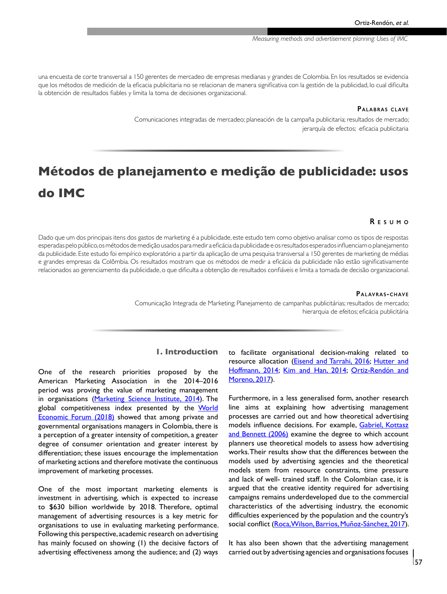una encuesta de corte transversal a 150 gerentes de mercadeo de empresas medianas y grandes de Colombia. En los resultados se evidencia que los métodos de medición de la eficacia publicitaria no se relacionan de manera significativa con la gestión de la publicidad, lo cual dificulta la obtención de resultados fiables y limita la toma de decisiones organizacional.

#### **PALABRAS CLAVE**

Comunicaciones integradas de mercadeo; planeación de la campaña publicitaria; resultados de mercado; jerarquía de efectos; eficacia publicitaria

# **Métodos de planejamento e medição de publicidade: usos do IMC**

#### **R e s u m o**

Dado que um dos principais itens dos gastos de marketing é a publicidade, este estudo tem como objetivo analisar como os tipos de respostas esperadas pelo público, os métodos de medição usados para medir a eficácia da publicidade e os resultados esperados influenciam o planejamento da publicidade. Este estudo foi empírico exploratório a partir da aplicação de uma pesquisa transversal a 150 gerentes de marketing de médias e grandes empresas da Colômbia. Os resultados mostram que os métodos de medir a eficácia da publicidade não estão significativamente relacionados ao gerenciamento da publicidade, o que dificulta a obtenção de resultados confiáveis e limita a tomada de decisão organizacional.

#### **Palav ras -c hav e**

Comunicação Integrada de Marketing; Planejamento de campanhas publicitárias; resultados de mercado; hierarquia de efeitos; eficácia publicitária

## **1. Introduction**

One of the research priorities proposed by the American Marketing Association in the 2014–2016 period was proving the value of marketing management in organisations ([Marketing Science Institute, 2014](#page-11-0)). The global competitiveness index presented by the World **[Economic Forum \(2018\)](#page-12-0)** showed that among private and governmental organisations managers in Colombia, there is a perception of a greater intensity of competition, a greater degree of consumer orientation and greater interest by differentiation; these issues encourage the implementation of marketing actions and therefore motivate the continuous improvement of marketing processes.

One of the most important marketing elements is investment in advertising, which is expected to increase to \$630 billion worldwide by 2018. Therefore, optimal management of advertising resources is a key metric for organisations to use in evaluating marketing performance. Following this perspective, academic research on advertising has mainly focused on showing (1) the decisive factors of advertising effectiveness among the audience; and (2) ways

to facilitate organisational decision-making related to resource allocation (**Eisend and Tarrahi, 2016**; [Hutter and](#page-11-0) [Hoffmann, 2014;](#page-11-0) [Kim and Han, 2014](#page-11-0); [Ortiz-Rendón and](#page-11-0) [Moreno, 2017\)](#page-11-0).

Furthermore, in a less generalised form, another research line aims at explaining how advertising management processes are carried out and how theoretical advertising models influence decisions. For example, [Gabriel, Kottasz](#page-11-0) [and Bennett \(2006\)](#page-11-0) examine the degree to which account planners use theoretical models to assess how advertising works. Their results show that the differences between the models used by advertising agencies and the theoretical models stem from resource constraints, time pressure and lack of well- trained staff. In the Colombian case, it is argued that the creative identity required for advertising campaigns remains underdeveloped due to the commercial characteristics of the advertising industry, the economic difficulties experienced by the population and the country's social conflict ([Roca, Wilson, Barrios, Muñoz-Sánchez, 2017\)](#page-12-0).

It has also been shown that the advertising management carried out by advertising agencies and organisations focuses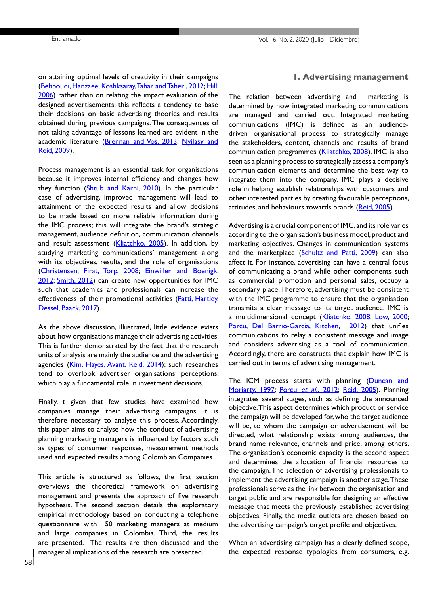on attaining optimal levels of creativity in their campaigns [\(Behboudi, Hanzaee, Koshksaray, Tabar and Taheri, 2012;](#page-10-0) [Hill,](#page-11-0)  [2006](#page-11-0)) rather than on relating the impact evaluation of the designed advertisements; this reflects a tendency to base their decisions on basic advertising theories and results obtained during previous campaigns. The consequences of not taking advantage of lessons learned are evident in the academic literature [\(Brennan and Vos, 2013;](#page-10-0) Nyilasy and [Reid, 2009](#page-11-0)).

Process management is an essential task for organisations because it improves internal efficiency and changes how they function [\(Shtub and Karni, 2010\)](#page-12-0). In the particular case of advertising, improved management will lead to attainment of the expected results and allow decisions to be made based on more reliable information during the IMC process; this will integrate the brand's strategic management, audience definition, communication channels and result assessment [\(Kliatchko, 2005](#page-11-0)). In addition, by studying marketing communications' management along with its objectives, results, and the role of organisations [\(Christensen, Firat, Torp, 2008;](#page-10-0) [Einwiller and Boenigk,](#page-11-0)  [2012](#page-11-0); [Smith, 2012\)](#page-12-0) can create new opportunities for IMC such that academics and professionals can increase the effectiveness of their promotional activities (Patti, Hartley, [Dessel, Baack, 2017](#page-11-0)).

As the above discussion, illustrated, little evidence exists about how organisations manage their advertising activities. This is further demonstrated by the fact that the research units of analysis are mainly the audience and the advertising agencies [\(Kim, Hayes, Avant, Reid, 2014](#page-11-0)); such researches tend to overlook advertiser organisations' perceptions, which play a fundamental role in investment decisions.

Finally, t given that few studies have examined how companies manage their advertising campaigns, it is therefore necessary to analyse this process. Accordingly, this paper aims to analyse how the conduct of advertising planning marketing managers is influenced by factors such as types of consumer responses, measurement methods used and expected results among Colombian Companies.

This article is structured as follows, the first section overviews the theoretical framework on advertising management and presents the approach of five research hypothesis. The second section details the exploratory empirical methodology based on conducting a telephone questionnaire with 150 marketing managers at medium and large companies in Colombia. Third, the results are presented. The results are then discussed and the managerial implications of the research are presented.

### **1. Advertising management**

The relation between advertising and marketing is determined by how integrated marketing communications are managed and carried out. Integrated marketing communications (IMC) is defined as an audiencedriven organisational process to strategically manage the stakeholders, content, channels and results of brand communication programmes [\(Kliatchko, 2008](#page-11-0)). IMC is also seen as a planning process to strategically assess a company's communication elements and determine the best way to integrate them into the company. IMC plays a decisive role in helping establish relationships with customers and other interested parties by creating favourable perceptions, attitudes, and behaviours towards brands ([Reid, 2005\)](#page-12-0).

Advertising is a crucial component of IMC, and its role varies according to the organisation's business model, product and marketing objectives. Changes in communication systems and the marketplace ([Schultz and Patti, 2009](#page-12-0)) can also affect it. For instance, advertising can have a central focus of communicating a brand while other components such as commercial promotion and personal sales, occupy a secondary place. Therefore, advertising must be consistent with the IMC programme to ensure that the organisation transmits a clear message to its target audience. IMC is a multidimensional concept [\(Kliatchko, 2008](#page-11-0); [Low, 2000;](#page-11-0) [Porcu, Del Barrio-García, Kitchen, 2012](#page-12-0)) that unifies communications to relay a consistent message and image and considers advertising as a tool of communication. Accordingly, there are constructs that explain how IMC is carried out in terms of advertising management.

The ICM process starts with planning [\(Duncan and](#page-10-0) [Moriarty, 1997;](#page-10-0) [Porcu](#page-12-0) et al., 2012; [Reid, 2005](#page-12-0)). Planning integrates several stages, such as defining the announced objective. This aspect determines which product or service the campaign will be developed for, who the target audience will be, to whom the campaign or advertisement will be directed, what relationship exists among audiences, the brand name relevance, channels and price, among others. The organisation's economic capacity is the second aspect and determines the allocation of financial resources to the campaign. The selection of advertising professionals to implement the advertising campaign is another stage. These professionals serve as the link between the organisation and target public and are responsible for designing an effective message that meets the previously established advertising objectives. Finally, the media outlets are chosen based on the advertising campaign's target profile and objectives.

When an advertising campaign has a clearly defined scope, the expected response typologies from consumers, e.g.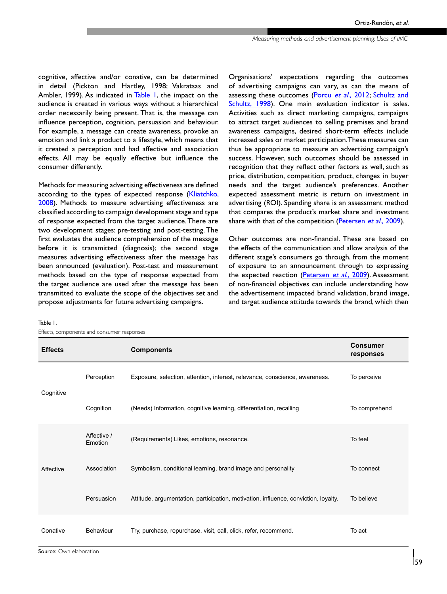cognitive, affective and/or conative, can be determined in detail (Pickton and Hartley, 1998; Vakratsas and Ambler, 1999). As indicated in Table 1, the impact on the audience is created in various ways without a hierarchical order necessarily being present. That is, the message can influence perception, cognition, persuasion and behaviour. For example, a message can create awareness, provoke an emotion and link a product to a lifestyle, which means that it created a perception and had affective and association effects. All may be equally effective but influence the consumer differently.

Methods for measuring advertising effectiveness are defined according to the types of expected response ([Kliatchko,](#page-11-0)  [2008](#page-11-0)). Methods to measure advertising effectiveness are classified according to campaign development stage and type of response expected from the target audience. There are two development stages: pre-testing and post-testing. The first evaluates the audience comprehension of the message before it is transmitted (diagnosis); the second stage measures advertising effectiveness after the message has been announced (evaluation). Post-test and measurement methods based on the type of response expected from the target audience are used after the message has been transmitted to evaluate the scope of the objectives set and propose adjustments for future advertising campaigns.

Organisations' expectations regarding the outcomes of advertising campaigns can vary, as can the means of assessing these outcomes [\(Porcu](#page-12-0) et al., 2012; [Schultz and](#page-12-0) [Schultz, 1998\)](#page-12-0). One main evaluation indicator is sales. Activities such as direct marketing campaigns, campaigns to attract target audiences to selling premises and brand awareness campaigns, desired short-term effects include increased sales or market participation. These measures can thus be appropriate to measure an advertising campaign's success. However, such outcomes should be assessed in recognition that they reflect other factors as well, such as price, distribution, competition, product, changes in buyer needs and the target audience's preferences. Another expected assessment metric is return on investment in advertising (ROI). Spending share is an assessment method that compares the product's market share and investment share with that of the competition [\(Petersen](#page-12-0) et al., 2009).

Other outcomes are non-financial. These are based on the effects of the communication and allow analysis of the different stage's consumers go through, from the moment of exposure to an announcement through to expressing the expected reaction [\(Petersen](#page-12-0) et al., 2009). Assessment of non-financial objectives can include understanding how the advertisement impacted brand validation, brand image, and target audience attitude towards the brand, which then

| Effects, components and consumer responses |                        |                                                                                     |                              |  |  |
|--------------------------------------------|------------------------|-------------------------------------------------------------------------------------|------------------------------|--|--|
| <b>Effects</b>                             |                        | <b>Components</b>                                                                   | <b>Consumer</b><br>responses |  |  |
| Cognitive                                  | Perception             | Exposure, selection, attention, interest, relevance, conscience, awareness.         | To perceive                  |  |  |
|                                            | Cognition              | (Needs) Information, cognitive learning, differentiation, recalling                 | To comprehend                |  |  |
|                                            | Affective /<br>Emotion | (Requirements) Likes, emotions, resonance.                                          | To feel                      |  |  |
| Affective                                  | Association            | Symbolism, conditional learning, brand image and personality                        | To connect                   |  |  |
|                                            | Persuasion             | Attitude, argumentation, participation, motivation, influence, conviction, loyalty. | To believe                   |  |  |
| Conative                                   | Behaviour              | Try, purchase, repurchase, visit, call, click, refer, recommend.                    | To act                       |  |  |

Table 1.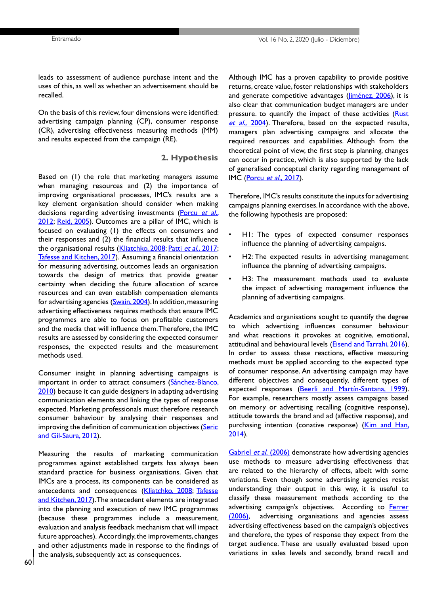leads to assessment of audience purchase intent and the uses of this, as well as whether an advertisement should be recalled.

On the basis of this review, four dimensions were identified: advertising campaign planning (CP), consumer response (CR), advertising effectiveness measuring methods (MM) and results expected from the campaign (RE).

#### **2. Hypothesis**

Based on (1) the role that marketing managers assume when managing resources and (2) the importance of improving organisational processes, IMC's results are a key element organisation should consider when making decisions regarding advertising investments ([Porcu](#page-12-0) et al., [2012](#page-12-0); [Reid, 2005](#page-12-0)). Outcomes are a pillar of IMC, which is focused on evaluating (1) the effects on consumers and their responses and (2) the financial results that influence the organisational results ([Kliatchko, 2008](#page-11-0); Patti et al., [2017](#page-11-0); [Tafesse and Kitchen, 2017](#page-12-0)). Assuming a financial orientation for measuring advertising, outcomes leads an organisation towards the design of metrics that provide greater certainty when deciding the future allocation of scarce resources and can even establish compensation elements for advertising agencies [\(Swain, 2004\)](#page-12-0). In addition, measuring advertising effectiveness requires methods that ensure IMC programmes are able to focus on profitable customers and the media that will influence them. Therefore, the IMC results are assessed by considering the expected consumer responses, the expected results and the measurement methods used.

Consumer insight in planning advertising campaigns is important in order to attract consumers (Sánchez-Blanco, [2010](#page-12-0)) because it can guide designers in adapting advertising communication elements and linking the types of response expected. Marketing professionals must therefore research consumer behaviour by analysing their responses and improving the definition of communication objectives (Seric [and Gil-Saura, 2012](#page-12-0)).

Measuring the results of marketing communication programmes against established targets has always been standard practice for business organisations. Given that IMCs are a process, its components can be considered as antecedents and consequences ([Kliatchko, 2008](#page-11-0); Tafesse [and Kitchen, 2017\)](#page-12-0). The antecedent elements are integrated into the planning and execution of new IMC programmes (because these programmes include a measurement, evaluation and analysis feedback mechanism that will impact future approaches). Accordingly, the improvements, changes and other adjustments made in response to the findings of the analysis, subsequently act as consequences.

Although IMC has a proven capability to provide positive returns, create value, foster relationships with stakeholders and generate competitive advantages (*Jiménez*, 2006), it is also clear that communication budget managers are under pressure. to quantify the impact of these activities [\(Rust](#page-12-0) et al., [2004](#page-12-0)). Therefore, based on the expected results, managers plan advertising campaigns and allocate the required resources and capabilities. Although from the theoretical point of view, the first step is planning, changes can occur in practice, which is also supported by the lack of generalised conceptual clarity regarding management of IMC [\(Porcu](#page-12-0) et al., 2017).

Therefore, IMC's results constitute the inputs for advertising campaigns planning exercises. In accordance with the above, the following hypothesis are proposed:

- H1: The types of expected consumer responses influence the planning of advertising campaigns.
- H2: The expected results in advertising management influence the planning of advertising campaigns.
- H3: The measurement methods used to evaluate the impact of advertising management influence the planning of advertising campaigns.

Academics and organisations sought to quantify the degree to which advertising influences consumer behaviour and what reactions it provokes at cognitive, emotional, attitudinal and behavioural levels (**Eisend and Tarrahi**, 2016). In order to assess these reactions, effective measuring methods must be applied according to the expected type of consumer response. An advertising campaign may have different objectives and consequently, different types of expected responses ([Beerli and Martín-Santana, 1999\)](#page-10-0). For example, researchers mostly assess campaigns based on memory or advertising recalling (cognitive response), attitude towards the brand and ad (affective response), and purchasing intention (conative response) [\(Kim and Han,](#page-11-0) [2014\)](#page-11-0).

[Gabriel](#page-11-0) et al. (2006) demonstrate how advertising agencies use methods to measure advertising effectiveness that are related to the hierarchy of effects, albeit with some variations. Even though some advertising agencies resist understanding their output in this way, it is useful to classify these measurement methods according to the advertising campaign's objectives. According to [Ferrer](#page-11-0) [\(2006\)](#page-11-0), advertising organisations and agencies assess advertising effectiveness based on the campaign's objectives and therefore, the types of response they expect from the target audience. These are usually evaluated based upon variations in sales levels and secondly, brand recall and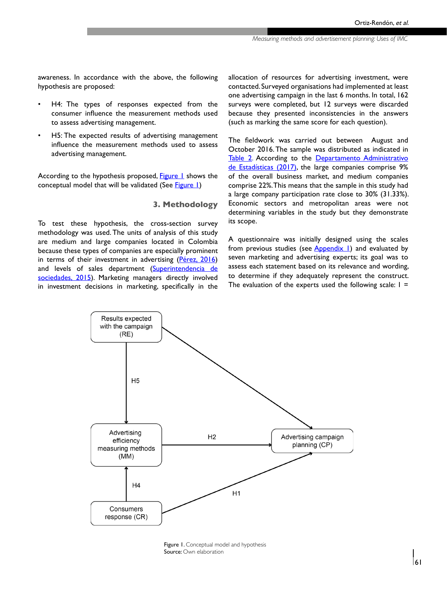awareness. In accordance with the above, the following hypothesis are proposed:

- H4: The types of responses expected from the consumer influence the measurement methods used to assess advertising management.
- H5: The expected results of advertising management influence the measurement methods used to assess advertising management.

According to the hypothesis proposed, Figure 1 shows the conceptual model that will be validated (See Figure 1)

#### **3. Methodology**

To test these hypothesis, the cross-section survey methodology was used. The units of analysis of this study are medium and large companies located in Colombia because these types of companies are especially prominent in terms of their investment in advertising ([Pérez, 2016\)](#page-12-0) and levels of sales department [\(Superintendencia de](#page-12-0) [sociedades, 2015](#page-12-0)). Marketing managers directly involved in investment decisions in marketing, specifically in the allocation of resources for advertising investment, were contacted. Surveyed organisations had implemented at least one advertising campaign in the last 6 months. In total, 162 surveys were completed, but 12 surveys were discarded because they presented inconsistencies in the answers (such as marking the same score for each question).

The fieldwork was carried out between August and October 2016. The sample was distributed as indicated in [Table 2.](#page-6-0) According to the Departamento Administrativo [de Estadísticas \(2017\)](#page-10-0), the large companies comprise 9% of the overall business market, and medium companies comprise 22%. This means that the sample in this study had a large company participation rate close to 30% (31.33%). Economic sectors and metropolitan areas were not determining variables in the study but they demonstrate its scope.

A questionnaire was initially designed using the scales from previous studies (see  $\Delta$ ppendix  $\Box$ ) and evaluated by seven marketing and advertising experts; its goal was to assess each statement based on its relevance and wording, to determine if they adequately represent the construct. The evaluation of the experts used the following scale:  $I =$ 



Figure 1. Conceptual model and hypothesis Source: Own elaboration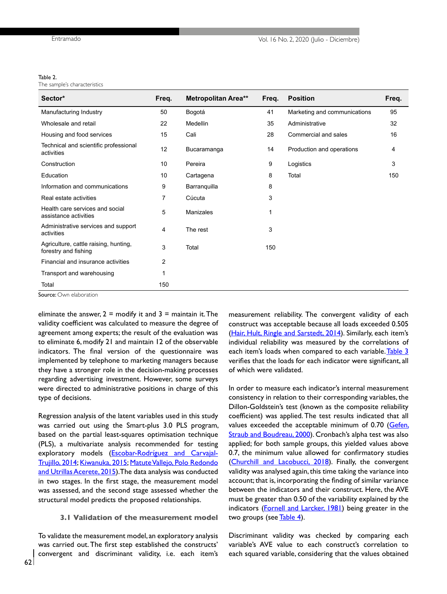#### <span id="page-6-0"></span>Table 2.

The sample's characteristics

| Sector*                                                       | Freq. | <b>Metropolitan Area**</b> | Freq. | <b>Position</b>              | Freq. |
|---------------------------------------------------------------|-------|----------------------------|-------|------------------------------|-------|
| Manufacturing Industry                                        | 50    | Bogotá                     | 41    | Marketing and communications | 95    |
| Wholesale and retail                                          | 22    | Medellin                   | 35    | Administrative               | 32    |
| Housing and food services                                     | 15    | Cali                       | 28    | Commercial and sales         | 16    |
| Technical and scientific professional<br>activities           | 12    | Bucaramanga                | 14    | Production and operations    | 4     |
| Construction                                                  | 10    | Pereira                    | 9     | Logistics                    | 3     |
| Education                                                     | 10    | Cartagena                  | 8     | Total                        | 150   |
| Information and communications                                | 9     | Barranquilla               | 8     |                              |       |
| Real estate activities                                        | 7     | Cúcuta                     | 3     |                              |       |
| Health care services and social<br>assistance activities      | 5     | Manizales                  | 1     |                              |       |
| Administrative services and support<br>activities             | 4     | The rest                   | 3     |                              |       |
| Agriculture, cattle raising, hunting,<br>forestry and fishing | 3     | Total                      | 150   |                              |       |
| Financial and insurance activities                            | 2     |                            |       |                              |       |
| Transport and warehousing                                     | 1     |                            |       |                              |       |
| Total                                                         | 150   |                            |       |                              |       |

Source: Own elaboration

eliminate the answer,  $2 =$  modify it and  $3 =$  maintain it. The validity coefficient was calculated to measure the degree of agreement among experts; the result of the evaluation was to eliminate 6, modify 21 and maintain 12 of the observable indicators. The final version of the questionnaire was implemented by telephone to marketing managers because they have a stronger role in the decision-making processes regarding advertising investment. However, some surveys were directed to administrative positions in charge of this type of decisions.

Regression analysis of the latent variables used in this study was carried out using the Smart-plus 3.0 PLS program, based on the partial least-squares optimisation technique (PLS), a multivariate analysis recommended for testing exploratory models [\(Escobar-Rodríguez and Carvajal-](#page-11-0)[Trujillo, 2014; Kiwanuka, 2015](#page-11-0); [Matute Vallejo, Polo Redondo](#page-11-0)  [and Utrillas Acerete, 2015](#page-11-0)). The data analysis was conducted in two stages. In the first stage, the measurement model was assessed, and the second stage assessed whether the structural model predicts the proposed relationships.

#### **3.1 Validation of the measurement model**

To validate the measurement model, an exploratory analysis was carried out. The first step established the constructs' convergent and discriminant validity, i.e. each item's

measurement reliability. The convergent validity of each construct was acceptable because all loads exceeded 0.505 ([Hair, Hult, Ringle and Sarstedt, 2014](#page-11-0)). Similarly, each item's individual reliability was measured by the correlations of each item's loads when compared to each variable. [Table 3](#page-7-0) verifies that the loads for each indicator were significant, all of which were validated.

In order to measure each indicator's internal measurement consistency in relation to their corresponding variables, the Dillon-Goldstein's test (known as the composite reliability coefficient) was applied. The test results indicated that all values exceeded the acceptable minimum of 0.70 ([Gefen,](#page-12-0) [Straub and Boudreau, 2000](#page-12-0)). Cronbach's alpha test was also applied; for both sample groups, this yielded values above 0.7, the minimum value allowed for confirmatory studies ([Churchill and Lacobucci, 2018\)](#page-10-0). Finally, the convergent validity was analysed again, this time taking the variance into account; that is, incorporating the finding of similar variance between the indicators and their construct. Here, the AVE must be greater than 0.50 of the variability explained by the indicators ([Fornell and Larcker, 1981\)](#page-11-0) being greater in the two groups (see [Table 4\)](#page-7-0).

Discriminant validity was checked by comparing each variable's AVE value to each construct's correlation to each squared variable, considering that the values obtained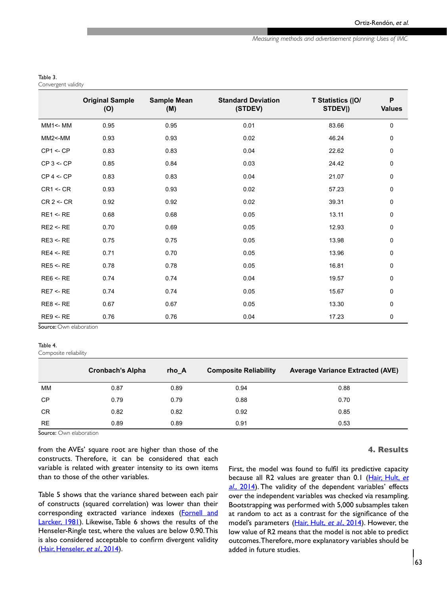*Measuring methods and advertisement planning: Uses of IMC* 

#### <span id="page-7-0"></span>Table 3.

Convergent validity

|                     | <b>Original Sample</b><br>(O) | <b>Sample Mean</b><br>(M) | <b>Standard Deviation</b><br>(STDEV) | T Statistics ( O/<br>STDEV <sub>I</sub> ) | P<br><b>Values</b> |
|---------------------|-------------------------------|---------------------------|--------------------------------------|-------------------------------------------|--------------------|
| $MM1$ <- $MM$       | 0.95                          | 0.95                      | 0.01                                 | 83.66                                     | 0                  |
| $MM2$ <- $MM$       | 0.93                          | 0.93                      | 0.02                                 | 46.24                                     | 0                  |
| CP1 < CP            | 0.83                          | 0.83                      | 0.04                                 | 22.62                                     | 0                  |
| $CP 3 \leq CP$      | 0.85                          | 0.84                      | 0.03                                 | 24.42                                     | 0                  |
| $CP 4 \leq CP$      | 0.83                          | 0.83                      | 0.04                                 | 21.07                                     | 0                  |
| $CR1 \leq CR$       | 0.93                          | 0.93                      | 0.02                                 | 57.23                                     | 0                  |
| $CR$ 2 <- $CR$      | 0.92                          | 0.92                      | 0.02                                 | 39.31                                     | 0                  |
| $RE1 \leftarrow RE$ | 0.68                          | 0.68                      | 0.05                                 | 13.11                                     | 0                  |
| $RE2 \leftarrow RE$ | 0.70                          | 0.69                      | 0.05                                 | 12.93                                     | 0                  |
| $RE3 \leq RE$       | 0.75                          | 0.75                      | 0.05                                 | 13.98                                     | 0                  |
| RE4 < RE            | 0.71                          | 0.70                      | 0.05                                 | 13.96                                     | 0                  |
| RE5 < RE            | 0.78                          | 0.78                      | 0.05                                 | 16.81                                     | 0                  |
| $RE6 \leftarrow RE$ | 0.74                          | 0.74                      | 0.04                                 | 19.57                                     | 0                  |
| RE7 < RE            | 0.74                          | 0.74                      | 0.05                                 | 15.67                                     | 0                  |
| RE8 < RE            | 0.67                          | 0.67                      | 0.05                                 | 13.30                                     | 0                  |
| $RE9 \leftarrow RE$ | 0.76                          | 0.76                      | 0.04                                 | 17.23                                     | 0                  |

Source: Own elaboration

#### Table 4.

Composite reliability

|           | <b>Cronbach's Alpha</b> | rho A | <b>Composite Reliability</b> | <b>Average Variance Extracted (AVE)</b> |
|-----------|-------------------------|-------|------------------------------|-----------------------------------------|
| MМ        | 0.87                    | 0.89  | 0.94                         | 0.88                                    |
| <b>CP</b> | 0.79                    | 0.79  | 0.88                         | 0.70                                    |
| <b>CR</b> | 0.82                    | 0.82  | 0.92                         | 0.85                                    |
| <b>RE</b> | 0.89                    | 0.89  | 0.91                         | 0.53                                    |

Source: Own elaboration

from the AVEs' square root are higher than those of the constructs. Therefore, it can be considered that each variable is related with greater intensity to its own items than to those of the other variables.

Table 5 shows that the variance shared between each pair of constructs (squared correlation) was lower than their corresponding extracted variance indexes ([Fornell and](#page-12-0)  [Larcker, 1981\)](#page-12-0). Likewise, Table 6 shows the results of the Henseler-Ringle test, where the values are below 0.90. This is also considered acceptable to confirm divergent validity [\(Hair, Henseler,](#page-11-0) et al., 2014).

#### **4. Results**

First, the model was found to fulfil its predictive capacity because all R2 values are greater than 0.1 ([Hair, Hult,](#page-11-0) et al., [2014](#page-11-0)). The validity of the dependent variables' effects over the independent variables was checked via resampling. Bootstrapping was performed with 5,000 subsamples taken at random to act as a contrast for the significance of the model's parameters ([Hair, Hult,](#page-11-0) et al., 2014). However, the low value of R2 means that the model is not able to predict outcomes. Therefore, more explanatory variables should be added in future studies.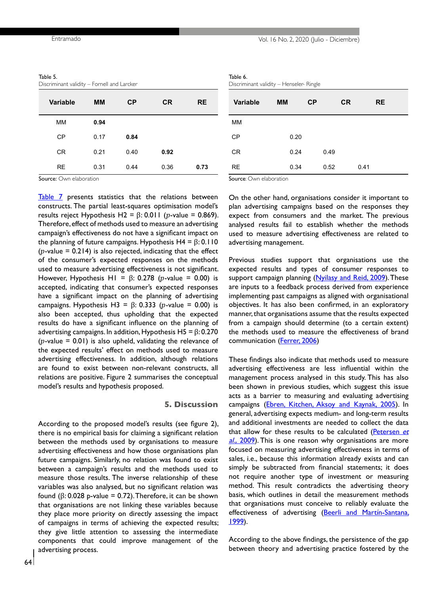| Entramado | Vol. 16 No. 2, 2020 (Julio - Diciembre) |  |
|-----------|-----------------------------------------|--|
|-----------|-----------------------------------------|--|

| Table 5.                                    |  |
|---------------------------------------------|--|
| Discriminant validity – Fornell and Larcker |  |

| Variable  | MМ   | <b>CP</b> | <b>CR</b> | <b>RE</b> |
|-----------|------|-----------|-----------|-----------|
| MМ        | 0.94 |           |           |           |
| <b>CP</b> | 0.17 | 0.84      |           |           |
| <b>CR</b> | 0.21 | 0.40      | 0.92      |           |
| <b>RE</b> | 0.31 | 0.44      | 0.36      | 0.73      |

Table 6.

Discriminant validity – Henseler- Ringle

| <b>Variable</b>                                    | <b>MM</b> | CP   | <b>CR</b> | <b>RE</b> |
|----------------------------------------------------|-----------|------|-----------|-----------|
| <b>MM</b>                                          |           |      |           |           |
| <b>CP</b>                                          | 0.20      |      |           |           |
| <b>CR</b>                                          | 0.24      | 0.49 |           |           |
| <b>RE</b>                                          | 0.34      | 0.52 | 0.41      |           |
| ۰<br>the contract of the contract of the<br>$\sim$ |           |      |           |           |

Source: Own elaboration

[Table 7](#page-9-0) presents statistics that the relations between constructs. The partial least-squares optimisation model's results reject Hypothesis H2 =  $\beta$ : 0.011 (p-value = 0.869). Therefore, effect of methods used to measure an advertising campaign's effectiveness do not have a significant impact on the planning of future campaigns. Hypothesis H4 =  $β$ : 0.110 ( $p$ -value = 0.214) is also rejected, indicating that the effect of the consumer's expected responses on the methods used to measure advertising effectiveness is not significant. However, Hypothesis H1 =  $\beta$ : 0.278 (*p*-value = 0.00) is accepted, indicating that consumer's expected responses have a significant impact on the planning of advertising campaigns. Hypothesis H3 =  $\beta$ : 0.333 (*p*-value = 0.00) is also been accepted, thus upholding that the expected results do have a significant influence on the planning of advertising campaigns. In addition, Hypothesis H5 =  $\beta$ : 0.270 ( $p$ -value = 0.01) is also upheld, validating the relevance of the expected results' effect on methods used to measure advertising effectiveness. In addition, although relations are found to exist between non-relevant constructs, all relations are positive. Figure 2 summarises the conceptual model's results and hypothesis proposed.

## **5. Discussion**

According to the proposed model's results (see figure 2), there is no empirical basis for claiming a significant relation between the methods used by organisations to measure advertising effectiveness and how those organisations plan future campaigns. Similarly, no relation was found to exist between a campaign's results and the methods used to measure those results. The inverse relationship of these variables was also analysed, but no significant relation was found (β: 0.028 p-value = 0.72). Therefore, it can be shown that organisations are not linking these variables because they place more priority on directly assessing the impact of campaigns in terms of achieving the expected results; they give little attention to assessing the intermediate components that could improve management of the advertising process.

Source: Own elaboration

On the other hand, organisations consider it important to plan advertising campaigns based on the responses they expect from consumers and the market. The previous analysed results fail to establish whether the methods used to measure advertising effectiveness are related to advertising management.

Previous studies support that organisations use the expected results and types of consumer responses to support campaign planning ([Nyilasy and Reid, 2009](#page-11-0)). These are inputs to a feedback process derived from experience implementing past campaigns as aligned with organisational objectives. It has also been confirmed, in an exploratory manner, that organisations assume that the results expected from a campaign should determine (to a certain extent) the methods used to measure the effectiveness of brand communication [\(Ferrer, 2006](#page-11-0))

These findings also indicate that methods used to measure advertising effectiveness are less influential within the management process analysed in this study. This has also been shown in previous studies, which suggest this issue acts as a barrier to measuring and evaluating advertising campaigns ([Ebren, Kitchen, Aksoy and Kaynak, 2005\)](#page-10-0). In general, advertising expects medium- and long-term results and additional investments are needed to collect the data that allow for these results to be calculated ([Petersen](#page-12-0) et al., [2009\)](#page-12-0). This is one reason why organisations are more focused on measuring advertising effectiveness in terms of sales, i.e., because this information already exists and can simply be subtracted from financial statements; it does not require another type of investment or measuring method. This result contradicts the advertising theory basis, which outlines in detail the measurement methods that organisations must conceive to reliably evaluate the effectiveness of advertising [\(Beerli and Martín-Santana,](#page-10-0) <u>1999</u>).

According to the above findings, the persistence of the gap between theory and advertising practice fostered by the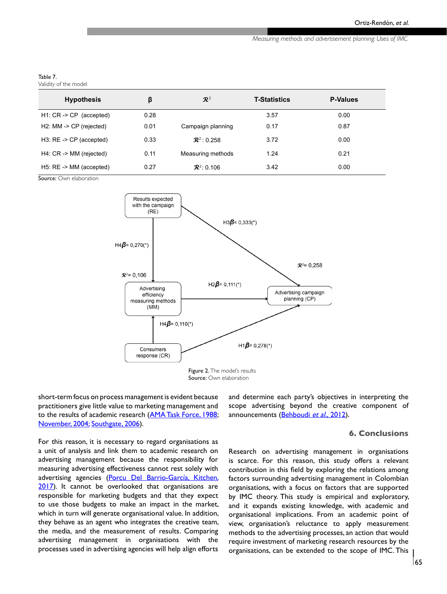*Measuring methods and advertisement planning: Uses of IMC* 

#### <span id="page-9-0"></span>Table 7.

Validity of the model

| <b>Hypothesis</b>                  | β    | $\mathbb{R}^2$         | <b>T-Statistics</b> | <b>P-Values</b> |
|------------------------------------|------|------------------------|---------------------|-----------------|
| $H1: CR \rightarrow CP$ (accepted) | 0.28 |                        | 3.57                | 0.00            |
| $H2$ : MM -> CP (rejected)         | 0.01 | Campaign planning      | 0.17                | 0.87            |
| $H3: RE \rightarrow CP$ (accepted) | 0.33 | $\mathbb{R}^2$ : 0.258 | 3.72                | 0.00            |
| H4: CR -> MM (rejected)            | 0.11 | Measuring methods      | 1.24                | 0.21            |
| $H5: RE \rightarrow MM$ (accepted) | 0.27 | $\mathbb{R}^2$ : 0.106 | 3.42                | 0.00            |

Source: Own elaboration



short-term focus on process management is evident because practitioners give little value to marketing management and to the results of academic research [\(AMA Task Force, 1988](#page-10-0); [November, 2004;](#page-11-0) [Southgate, 2006\)](#page-12-0).

For this reason, it is necessary to regard organisations as a unit of analysis and link them to academic research on advertising management because the responsibility for measuring advertising effectiveness cannot rest solely with advertising agencies (Porcu Del Barrio-García, Kitchen, [2017](#page-12-0)). It cannot be overlooked that organisations are responsible for marketing budgets and that they expect to use those budgets to make an impact in the market, which in turn will generate organisational value. In addition, they behave as an agent who integrates the creative team, the media, and the measurement of results. Comparing advertising management in organisations with the processes used in advertising agencies will help align efforts

and determine each party's objectives in interpreting the scope advertising beyond the creative component of announcements (**[Behboudi](#page-10-0) et al., 2012**).

## **6. Conclusions**

Research on advertising management in organisations is scarce. For this reason, this study offers a relevant contribution in this field by exploring the relations among factors surrounding advertising management in Colombian organisations, with a focus on factors that are supported by IMC theory. This study is empirical and exploratory, and it expands existing knowledge, with academic and organisational implications. From an academic point of view, organisation's reluctance to apply measurement methods to the advertising processes, an action that would require investment of marketing research resources by the organisations, can be extended to the scope of IMC. This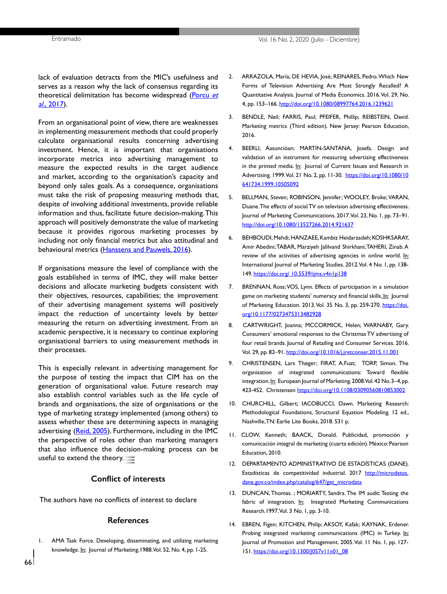<span id="page-10-0"></span>lack of evaluation detracts from the MIC's usefulness and serves as a reason why the lack of consensus regarding its theoretical delimitation has become widespread ([Porcu](#page-12-0) et  $al., 2017$ ).

From an organisational point of view, there are weaknesses in implementing measurement methods that could properly calculate organisational results concerning advertising investment. Hence, it is important that organisations incorporate metrics into advertising management to measure the expected results in the target audience and market, according to the organisation's capacity and beyond only sales goals. As a consequence, organisations must take the risk of proposing measuring methods that, despite of involving additional investments, provide reliable information and thus, facilitate future decision-making. This approach will positively demonstrate the value of marketing because it provides rigorous marketing processes by including not only financial metrics but also attitudinal and behavioural metrics ([Hanssens and Pauwels, 2016\)](#page-11-0).

If organisations measure the level of compliance with the goals established in terms of IMC, they will make better decisions and allocate marketing budgets consistent with their objectives, resources, capabilities; the improvement of their advertising management systems will positively impact the reduction of uncertainty levels by better measuring the return on advertising investment. From an academic perspective, it is necessary to continue exploring organisational barriers to using measurement methods in their processes.

This is especially relevant in advertising management for the purpose of testing the impact that CIM has on the generation of organisational value. Future research may also establish control variables such as the life cycle of brands and organisations, the size of organisations or the type of marketing strategy implemented (among others) to assess whether these are determining aspects in managing advertising ([Reid, 2005](#page-12-0)). Furthermore, including in the IMC the perspective of roles other than marketing managers that also influence the decision-making process can be useful to extend the theory.

## **Conflict of interests**

The authors have no conflicts of interest to declare

#### **References**

1. AMA Task Force. Developing, disseminating, and utilizing marketing knowledge. In: Journal of Marketing.1988. Vol. 52, No. 4, pp. 1-25.

- 2. ARRAZOLA, María; DE HEVIA, José; REINARES, Pedro. Which New Forms of Television Advertising Are Most Strongly Recalled? A Quantitative Analysis. Journal of Media Economics. 2016. Vol. 29, No. 4, pp. 153–166.<http://doi.org/10.1080/08997764.2016.1239621>
- 3. BENDLE, Neil; FARRIS, Paul; PFEIFER, Phillip; REIBSTEIN, David. Marketing metrics (Third edition). New Jersey: Pearson Education, 2016.
- 4. BEERLI, Aasuncióan; MARTIN-SANTANA, Josefa. Design and validation of an instrument for measuring advertising effectiveness in the printed media. In: Journal of Current Issues and Research in Advertising. 1999. Vol. 21 No. 2, pp. 11-30. [https://doi.org/10.1080/10](https://doi.org/10.1080/10641734.1999.10505092) [641734.1999.10505092](https://doi.org/10.1080/10641734.1999.10505092)
- 5. BELLMAN, Steven; ROBINSON, Jennifer; WOOLEY, Broke; VARAN, Duane. The effects of social TV on television advertising effectiveness. Journal of Marketing Communications. 2017. Vol. 23, No. 1, pp. 73–91. <http://doi.org/10.1080/13527266.2014.921637>
- 6. BEHBOUDI, Mehdi; HANZAEE, Kambiz Heidarzadeh; KOSHKSARAY, Amir Abedini; TABAR, Marziyeh Jalilvand Shirkhani; TAHERI, Zinab. A review of the activities of advertising agencies in online world. In: International Journal of Marketing Studies. 2012. Vol. 4 No. 1, pp. 138- 149. <https://doi.org/ 10.5539/ijms.v4n1p138>
- 7. BRENNAN, Ross; VOS, Lynn. Effects of participation in a simulation game on marketing students' numeracy and financial skills. In: Journal of Marketing Education. 2013. Vol. 35 No. 3, pp. 259-270. [https://doi.](https://doi.org/10.1177/0273475313482928) [org/10.1177/0273475313482928](https://doi.org/10.1177/0273475313482928)
- 8. CARTWRIGHT, Joanna; MCCORMICK, Helen; WARNABY, Gary. Consumers' emotional responses to the Christmas TV advertising of four retail brands. Journal of Retailing and Consumer Services. 2016. Vol. 29, pp. 82–91.<http://doi.org/10.1016/j.jretconser.2015.11.001>
- 9. CHRISTENSEN, Lars Thøger; FIRAT, A.Fuat; TORP, Simon. The organisation of integrated communications: Toward flexible integration. In: European Journal of Marketing. 2008. Vol. 42 No. 3-4, pp. 423-452. Christensen<https://doi.org/10.1108/03090560810853002>
- 10. CHURCHILL, Gilbert; IACOBUCCI, Dawn. Marketing Research: Methodological Foundations, Structural Equation Modeling. 12 ed., Nashville, TN: Earlie Lite Books, 2018. 531 p.
- 11. CLOW, Kenneth; BAACK, Donald. Publicidad, promoción y comunicación integral de marketing (cuarta edición). México: Pearson Education, 2010.
- 12. DEPARTAMENTO ADMINISTRATIVO DE ESTADÍSTICAS (DANE). Estadísticas de competitividad industrial. 2017 [http://microdatos.](http://microdatos.dane.gov.co/index.php/catalog/647/get_microdata) [dane.gov.co/index.php/catalog/647/get\\_microdata](http://microdatos.dane.gov.co/index.php/catalog/647/get_microdata)
- 13. DUNCAN, Thomas. ; MORIARTY, Sandra. The IM audit: Testing the fabric of integration. In: Integrated Marketing Communications Research.1997. Vol. 3 No. 1, pp. 3-10.
- 14. EBREN, Figen; KITCHEN, Philip; AKSOY, Kafak; KAYNAK, Erdener. Probing integrated marketing communications (IMC) in Turkey. In: Journal of Promotion and Management. 2005. Vol. 11 No. 1, pp. 127- 151. [https://doi.org/10.1300/J057v11n01\\_08](https://doi.org/10.1300/J057v11n01_08)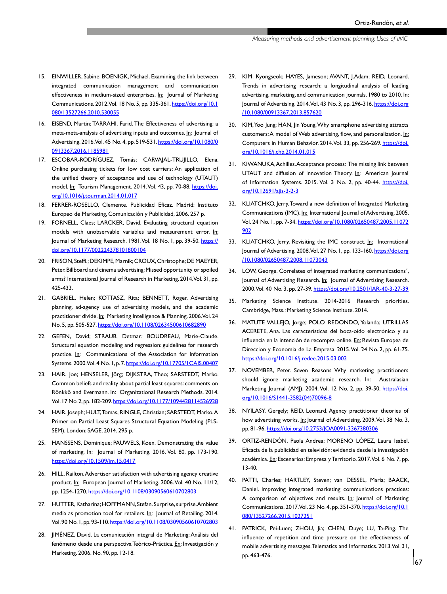- <span id="page-11-0"></span>15. EINWILLER, Sabine; BOENIGK, Michael. Examining the link between integrated communication management and communication effectiveness in medium-sized enterprises. In: Journal of Marketing Communications. 2012. Vol. 18 No. 5, pp. 335-361. [https://doi.org/10.1](https://doi.org/10.1080/13527266.2010.530055) [080/13527266.2010.530055](https://doi.org/10.1080/13527266.2010.530055)
- 16. EISEND, Martin; TARRAHI, Farid. The Effectiveness of advertising: a meta-meta-analysis of advertising inputs and outcomes. In: Journal of Advertising. 2016. Vol. 45 No. 4, pp. 519-531. [https://doi.org/10.1080/0](https://doi.org/10.1080/00913367.2016.1185981) [0913367.2016.1185981](https://doi.org/10.1080/00913367.2016.1185981)
- 17. ESCOBAR-RODRÍGUEZ, Tomás; CARVAJAL-TRUJILLO, Elena. Online purchasing tickets for low cost carriers: An application of the unified theory of acceptance and use of technology (UTAUT) model. In: Tourism Management. 2014. Vol. 43, pp. 70-88. [https://doi.](https://doi.org/10.1016/j.tourman.2014.01.017) [org/10.1016/j.tourman.2014.01.017](https://doi.org/10.1016/j.tourman.2014.01.017)
- 18. FERRER-ROSELLO, Clemente. Publicidad Eficaz. Madrid: Instituto Europeo de Marketing, Comunicación y Publicidad, 2006. 257 p.
- 19. FORNELL, Claes; LARCKER, David. Evaluating structural equation models with unobservable variables and measurement error. In: Journal of Marketing Research. 1981. Vol. 18 No. 1, pp. 39-50. [https://](https://doi.org/10.1177/002224378101800104) [doi.org/10.1177/002224378101800104](https://doi.org/10.1177/002224378101800104)
- 20. FRISON, Steffi.; DEKIMPE, Marnik; CROUX, Christophe; DE MAEYER, Peter. Billboard and cinema advertising: Missed opportunity or spoiled arms? International Journal of Research in Marketing. 2014. Vol. 31, pp. 425-433.
- 21. GABRIEL, Helen; KOTTASZ, Rita; BENNETT, Roger. Advertising planning, ad-agency use of advertising models, and the academic practitioner divide. In: Marketing Intelligence & Planning. 2006. Vol. 24 No. 5, pp. 505-527.<https://doi.org/10.1108/02634500610682890>
- 22. GEFEN, David; STRAUB, Detmar; BOUDREAU, Marie-Claude. Structural equation modeling and regression: guidelines for research practice. In: Communications of the Association for Information Systems. 2000. Vol. 4 No. 1, p. 7. https://doi.org/10.17705/1CAIS.00407
- 23. HAIR, Joe; HENSELER, Jörg; DIJKSTRA, Theo; SARSTEDT, Marko. Common beliefs and reality about partial least squares: comments on Rönkkö and Evermann. In: Organizational Research Methods. 2014. Vol. 17 No. 2, pp. 182-209. [https://doi.org/10.1177/1094428114526928](https://doi.org/10.1177/1094428114526928 
)
- 24. HAIR, Joseph; HULT, Tomas, RINGLE, Christian; SARSTEDT, Marko. A Primer on Partial Least Squares Structural Equation Modeling (PLS-SEM). London: SAGE, 2014. 295 p.
- 25. HANSSENS, Dominique; PAUWELS, Koen. Demonstrating the value of marketing. In: Journal of Marketing. 2016. Vol. 80, pp. 173-190. <https://doi.org/10.1509/jm.15.0417>
- 26. HILL, Railton. Advertiser satisfaction with advertising agency creative product. In: European Journal of Marketing. 2006. Vol. 40 No. 11/12, pp. 1254-1270. <https://doi.org/10.1108/03090560610702803>
- 27. HUTTER, Katharina; HOFFMANN, Stefan. Surprise, surprise. Ambient media as promotion tool for retailers. In: Journal of Retailing. 2014. Vol. 90 No. 1, pp. 93-110. [https://doi.org/10.1108/03090560610702803](https://doi.org/10.1108/03090560610702803
)
- 28. JIMÉNEZ, David. La comunicación integral de Marketing: Análisis del fenómeno desde una perspectiva Teórico-Práctica. En: Investigación y Marketing. 2006. No. 90, pp. 12-18.
- 29. KIM, Kyongseok; HAYES, Jameson; AVANT, J.Adam; REID, Leonard. Trends in advertising research: a longitudinal analysis of leading advertising, marketing, and communication journals, 1980 to 2010. In: Journal of Advertising. 2014. Vol. 43 No. 3, pp. 296-316. [https://doi.org](https://doi.org/10.1080/00913367.2013.857620) [/10.1080/00913367.2013.857620](https://doi.org/10.1080/00913367.2013.857620)
- 30. KIM, Yoo Jung; HAN, Jin Young. Why smartphone advertising attracts customers: A model of Web advertising, flow, and personalization. In: Computers in Human Behavior. 2014. Vol. 33, pp. 256-269. [https://doi.](https://doi.org/10.1016/j.chb.2014.01.015) [org/10.1016/j.chb.2014.01.015](https://doi.org/10.1016/j.chb.2014.01.015)
- 31. KIWANUKA, Achilles. Acceptance process: The missing link between UTAUT and diffusion of innovation Theory. In: American Journal of Information Systems. 2015. Vol. 3 No. 2, pp. 40-44. [https://doi.](https://doi.org/10.12691/ajis-3-2-3) [org/10.12691/ajis-3-2-3](https://doi.org/10.12691/ajis-3-2-3)
- 32. KLIATCHKO, Jerry. Toward a new definition of Integrated Marketing Communications (IMC). In: International Journal of Advertising. 2005. Vol. 24 No. 1, pp. 7-34. [https://doi.org/10.1080/02650487.2005.11072](https://doi.org/10.1080/02650487.2005.11072902) [902](https://doi.org/10.1080/02650487.2005.11072902)
- 33. KLIATCHKO, Jerry. Revisiting the IMC construct. In: International Journal of Advertising. 2008. Vol. 27 No. 1, pp. 133-160. [https://doi.org](https://doi.org/10.1080/02650487.2008.11073043) [/10.1080/02650487.2008.11073043](https://doi.org/10.1080/02650487.2008.11073043)
- 34. LOW, George. Correlates of integrated marketing communications´, Journal of Advertising Research. In: Journal of Advertising Research. 2000. Vol. 40 No. 3, pp. 27-39. [https://doi.org/10.2501/JAR-40-3-27-39](https://doi.org/10.2501/JAR-40-3-27-39
)
- 35. Marketing Science Institute. 2014-2016 Research priorities. Cambridge, Mass.: Marketing Science Institute. 2014.
- 36. MATUTE VALLEJO, Jorge; POLO REDONDO, Yolanda; UTRILLAS ACERETE, Ana. Las características del boca-oído electrónico y su influencia en la intención de recompra online. En: Revista Europea de Direccion y Economia de La Empresa. 2015. Vol. 24 No. 2, pp. 61-75. <https://doi.org/10.1016/j.redee.2015.03.002>
- 37. NOVEMBER, Peter. Seven Reasons Why marketing practitioners should ignore marketing academic research. In: Australasian Marketing Journal (AMJ). 2004. Vol. 12 No. 2, pp. 39-50. [https://doi.](https://doi.org/10.1016/S1441-3582(04)70096-8) [org/10.1016/S1441-3582\(04\)70096-8](https://doi.org/10.1016/S1441-3582(04)70096-8)
- 38. NYILASY, Gergely; REID, Leonard. Agency practitioner theories of how advertising works. In: Journal of Advertising. 2009. Vol. 38 No. 3, pp. 81-96.<https://doi.org/10.2753/JOA0091-3367380306>
- 39. ORTIZ-RENDÓN, Paola Andrea; MORENO LÓPEZ, Laura Isabel. Eficacia de la publicidad en televisión: evidencia desde la investigación académica. En: Escenarios: Empresa y Territorio. 2017. Vol. 6 No. 7, pp. 13-40.
- 40. PATTI, Charles; HARTLEY, Steven; van DESSEL, María; BAACK, Daniel. Improving integrated marketing communications practices: A comparison of objectives and results. In: Journal of Marketing Communications. 2017. Vol. 23 No. 4, pp. 351-370. [https://doi.org/10.1](https://doi.org/10.1080/13527266.2015.1027251) [080/13527266.2015.1027251](https://doi.org/10.1080/13527266.2015.1027251)
- 41. PATRICK, Pei-Luen; ZHOU, Jia; CHEN, Duye; LU, Ta-Ping. The influence of repetition and time pressure on the effectiveness of mobile advertising messages. Telematics and Informatics. 2013. Vol. 31, pp. 463-476.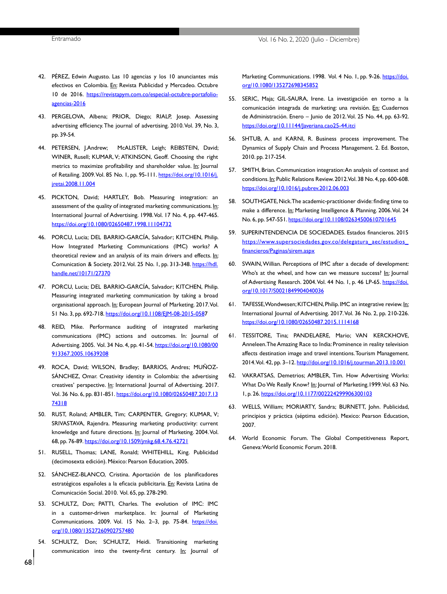- <span id="page-12-0"></span>42. PÉREZ, Edwin Augusto. Las 10 agencias y los 10 anunciantes más efectivos en Colombia. En: Revista Publicidad y Mercadeo. Octubre 10 de 2016. [https://revistapym.com.co/especial-octubre-portafolio](https://revistapym.com.co/especial-octubre-portafolio-agencias-2016)[agencias-2016](https://revistapym.com.co/especial-octubre-portafolio-agencias-2016)
- 43. PERGELOVA, Albena; PRIOR, Diego; RIALP, Josep. Assessing advertising efficiency. The journal of advertising. 2010. Vol. 39, No. 3, pp. 39-54.
- 44. PETERSEN, J.Andrew; McALISTER, Leigh; REIBSTEIN, David; WINER, Rusell; KUMAR, V; ATKINSON, Geoff. Choosing the right metrics to maximize profitability and shareholder value. In: Journal of Retailing. 2009. Vol. 85 No. 1, pp. 95-111. [https://doi.org/10.1016/j.](https://doi.org/10.1016/j.jretai.2008.11.004) [jretai.2008.11.004](https://doi.org/10.1016/j.jretai.2008.11.004)
- 45. PICKTON, David; HARTLEY, Bob. Measuring integration: an assessment of the quality of integrated marketing communications. In: International Journal of Advertising. 1998. Vol. 17 No. 4, pp. 447-465. <https://doi.org/10.1080/02650487.1998.11104732>
- 46. PORCU, Lucia; DEL BARRIO-GARCÍA, Salvador; KITCHEN, Philip. How Integrated Marketing Communications (IMC) works? A theoretical review and an analysis of its main drivers and effects. In: Comunication & Society. 2012. Vol. 25 No. 1, pp. 313-348. [https://hdl.](https://hdl.handle.net/10171/27370) [handle.net/10171/27370](https://hdl.handle.net/10171/27370)
- 47. PORCU, Lucia; DEL BARRIO-GARCÍA, Salvador; KITCHEN, Philip. Measuring integrated marketing communication by taking a broad organisational approach. In: European Journal of Marketing. 2017. Vol. 51 No. 3, pp. 692-718. [https://doi.org/10.1108/EJM-08-2015-0587](https://doi.org/10.1108/EJM-08-2015-058)
- 48. REID, Mike. Performance auditing of integrated marketing communications (IMC) actions and outcomes. In: Journal of Advertising. 2005. Vol. 34 No. 4, pp. 41-54. [https://doi.org/10.1080/00](https://doi.org/10.1080/00913367.2005.10639208) [913367.2005.10639208](https://doi.org/10.1080/00913367.2005.10639208)
- 49. ROCA, David; WILSON, Bradley; BARRIOS, Andres; MUÑOZ-SÁNCHEZ, Omar. Creativity identity in Colombia: the advertising creatives' perspective. In: International Journal of Advertising. 2017. Vol. 36 No. 6, pp. 831-851. [https://doi.org/10.1080/02650487.2017.13](https://doi.org/10.1080/02650487.2017.1374318) [74318](https://doi.org/10.1080/02650487.2017.1374318)
- 50. RUST, Roland; AMBLER, Tim; CARPENTER, Gregory; KUMAR, V; SRIVASTAVA, Rajendra. Measuring marketing productivity: current knowledge and future directions. In: Journal of Marketing. 2004. Vol. 68, pp. 76-89. <https://doi.org/10.1509/jmkg.68.4.76.42721>
- 51. RUSELL, Thomas; LANE, Ronald; WHITEHILL, King. Publicidad (decimosexta edición). México: Pearson Education, 2005.
- 52. SÁNCHEZ-BLANCO, Cristina. Aportación de los planificadores estratégicos españoles a la eficacia publicitaria. En: Revista Latina de Comunicación Social. 2010. Vol. 65, pp. 278-290.
- 53. SCHULTZ, Don; PATTI, Charles. The evolution of IMC: IMC in a customer-driven marketplace. In: Journal of Marketing Communications. 2009. Vol. 15 No. 2–3, pp. 75-84. [https://doi.](https://doi.org/10.1080/13527260902757480) [org/10.1080/13527260902757480](https://doi.org/10.1080/13527260902757480)
- 54. SCHULTZ, Don; SCHULTZ, Heidi. Transitioning marketing communication into the twenty-first century. In: Journal of

Marketing Communications. 1998. Vol. 4 No. 1, pp. 9-26. [https://doi.](https://doi.org/10.1080/135272698345852) [org/10.1080/135272698345852](https://doi.org/10.1080/135272698345852)

- 55. SERIC, Maja; GIL-SAURA, Irene. La investigación en torno a la comunicación integrada de marketing: una revisión. En: Cuadernos de Administración. Enero – Junio de 2012. Vol. 25 No. 44, pp. 63-92. <https://doi.org/10.11144/Javeriana.cao25-44.itci>
- 56. SHTUB, A. and KARNI, R. Business process improvement. The Dynamics of Supply Chain and Process Management. 2. Ed. Boston, 2010. pp. 217-254.
- 57. SMITH, Brian. Communication integration: An analysis of context and conditions. In: Public Relations Review. 2012. Vol. 38 No. 4, pp. 600-608. <https://doi.org/10.1016/j.pubrev.2012.06.003>
- 58. SOUTHGATE, Nick. The academic-practitioner divide: finding time to make a difference. In: Marketing Intelligence & Planning. 2006. Vol. 24 No. 6, pp. 547-551.<https://doi.org/10.1108/02634500610701645>
- 59. SUPERINTENDENCIA DE SOCIEDADES. Estados financieros. 2015 [https://www.supersociedades.gov.co/delegatura\\_aec/estudios\\_](https://www.supersociedades.gov.co/delegatura_aec/estudios_financieros/Paginas/sirem.aspx) [financieros/Paginas/sirem.aspx](https://www.supersociedades.gov.co/delegatura_aec/estudios_financieros/Paginas/sirem.aspx)
- 60. SWAIN, Willian. Perceptions of IMC after a decade of development: Who's at the wheel, and how can we measure success? In: Journal of Advertising Research. 2004. Vol. 44 No. 1, p. 46 LP-65. [https://doi.](https://doi.org/10.1017/S0021849904040036) [org/10.1017/S0021849904040036](https://doi.org/10.1017/S0021849904040036)
- 61. TAFESSE, Wondwesen; KITCHEN, Philip. IMC an integrative review. In: International Journal of Advertising. 2017. Vol. 36 No. 2, pp. 210-226. <https://doi.org/10.1080/02650487.2015.1114168>
- 61. TESSITORE, Tina; PANDELAERE, Mario; VAN KERCKHOVE, Anneleen. The Amazing Race to India: Prominence in reality television affects destination image and travel intentions. Tourism Management. 2014. Vol. 42, pp. 3–12.<http://doi.org/10.1016/j.tourman.2013.10.001>
- 62. VAKRATSAS, Demetrios; AMBLER, Tim. How Advertising Works: What Do We Really Know? In: Journal of Marketing.1999. Vol. 63 No. 1, p. 26.<https://doi.org/10.1177/002224299906300103>
- 63. WELLS, William; MORIARTY, Sandra; BURNETT, John. Publicidad, principios y práctica (séptima edición). Mexico: Pearson Education, 2007.
- 64. World Economic Forum. The Global Competitiveness Report, Geneva: World Economic Forum. 2018.